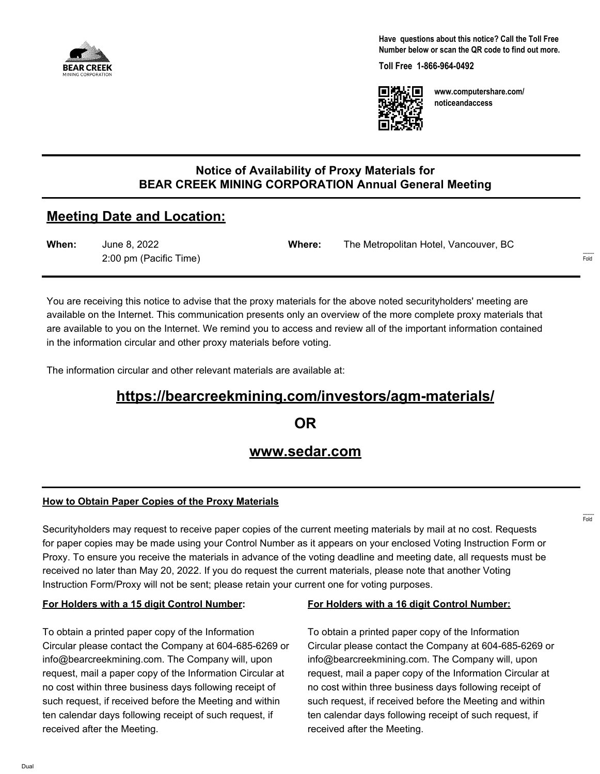

**Have questions about this notice? Call the Toll Free Number below or scan the QR code to find out more.**

**Toll Free 1-866-964-0492**



**www.computershare.com/ noticeandaccess**

# **Notice of Availability of Proxy Materials for BEAR CREEK MINING CORPORATION Annual General Meeting**

# **Meeting Date and Location:**

| When: | June 8, 2022           | Where: | The Metropolitan Hotel, Vancouver, BC |
|-------|------------------------|--------|---------------------------------------|
|       | 2:00 pm (Pacific Time) |        |                                       |

You are receiving this notice to advise that the proxy materials for the above noted securityholders' meeting are available on the Internet. This communication presents only an overview of the more complete proxy materials that are available to you on the Internet. We remind you to access and review all of the important information contained in the information circular and other proxy materials before voting.

The information circular and other relevant materials are available at:

# **https://bearcreekmining.com/investors/agm-materials/**

**OR**

# **www.sedar.com**

## **How to Obtain Paper Copies of the Proxy Materials**

Securityholders may request to receive paper copies of the current meeting materials by mail at no cost. Requests for paper copies may be made using your Control Number as it appears on your enclosed Voting Instruction Form or Proxy. To ensure you receive the materials in advance of the voting deadline and meeting date, all requests must be received no later than May 20, 2022. If you do request the current materials, please note that another Voting Instruction Form/Proxy will not be sent; please retain your current one for voting purposes.

#### **For Holders with a 15 digit Control Number:**

To obtain a printed paper copy of the Information Circular please contact the Company at 604-685-6269 or info@bearcreekmining.com. The Company will, upon request, mail a paper copy of the Information Circular at no cost within three business days following receipt of such request, if received before the Meeting and within ten calendar days following receipt of such request, if received after the Meeting.

#### **For Holders with a 16 digit Control Number:**

To obtain a printed paper copy of the Information Circular please contact the Company at 604-685-6269 or info@bearcreekmining.com. The Company will, upon request, mail a paper copy of the Information Circular at no cost within three business days following receipt of such request, if received before the Meeting and within ten calendar days following receipt of such request, if received after the Meeting.

------- Fold